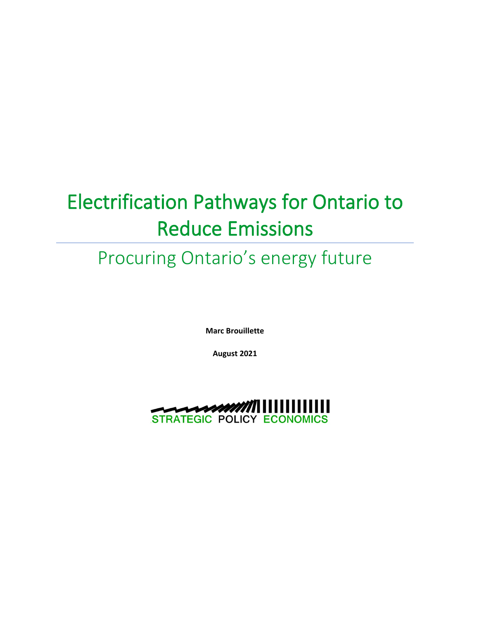# Electrification Pathways for Ontario to Reduce Emissions

# Procuring Ontario's energy future

**Marc Brouillette**

**August 2021**

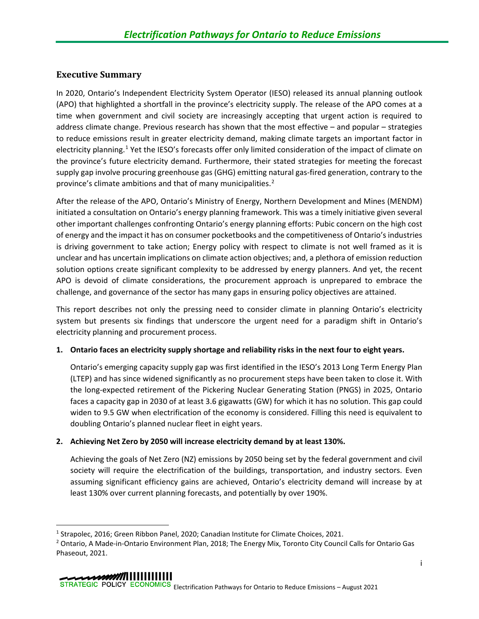## <span id="page-1-2"></span>**Executive Summary**

In 2020, Ontario's Independent Electricity System Operator (IESO) released its annual planning outlook (APO) that highlighted a shortfall in the province's electricity supply. The release of the APO comes at a time when government and civil society are increasingly accepting that urgent action is required to address climate change. Previous research has shown that the most effective – and popular – strategies to reduce emissions result in greater electricity demand, making climate targets an important factor in electricity planning.<sup>[1](#page-1-0)</sup> Yet the IESO's forecasts offer only limited consideration of the impact of climate on the province's future electricity demand. Furthermore, their stated strategies for meeting the forecast supply gap involve procuring greenhouse gas (GHG) emitting natural gas-fired generation, contrary to the province's climate ambitions and that of many municipalities.<sup>[2](#page-1-1)</sup>

After the release of the APO, Ontario's Ministry of Energy, Northern Development and Mines (MENDM) initiated a consultation on Ontario's energy planning framework. This was a timely initiative given several other important challenges confronting Ontario's energy planning efforts: Pubic concern on the high cost of energy and the impact it has on consumer pocketbooks and the competitiveness of Ontario's industries is driving government to take action; Energy policy with respect to climate is not well framed as it is unclear and has uncertain implications on climate action objectives; and, a plethora of emission reduction solution options create significant complexity to be addressed by energy planners. And yet, the recent APO is devoid of climate considerations, the procurement approach is unprepared to embrace the challenge, and governance of the sector has many gaps in ensuring policy objectives are attained.

This report describes not only the pressing need to consider climate in planning Ontario's electricity system but presents six findings that underscore the urgent need for a paradigm shift in Ontario's electricity planning and procurement process.

## **1. Ontario faces an electricity supply shortage and reliability risks in the next four to eight years.**

Ontario's emerging capacity supply gap was first identified in the IESO's 2013 Long Term Energy Plan (LTEP) and has since widened significantly as no procurement steps have been taken to close it. With the long-expected retirement of the Pickering Nuclear Generating Station (PNGS) in 2025, Ontario faces a capacity gap in 2030 of at least 3.6 gigawatts (GW) for which it has no solution. This gap could widen to 9.5 GW when electrification of the economy is considered. Filling this need is equivalent to doubling Ontario's planned nuclear fleet in eight years.

## **2. Achieving Net Zero by 2050 will increase electricity demand by at least 130%.**

Achieving the goals of Net Zero (NZ) emissions by 2050 being set by the federal government and civil society will require the electrification of the buildings, transportation, and industry sectors. Even assuming significant efficiency gains are achieved, Ontario's electricity demand will increase by at least 130% over current planning forecasts, and potentially by over 190%.

<span id="page-1-0"></span><sup>1</sup> Strapolec, 2016; Green Ribbon Panel, 2020; Canadian Institute for Climate Choices, 2021.

<span id="page-1-1"></span><sup>&</sup>lt;sup>2</sup> Ontario, A Made-in-Ontario Environment Plan, 2018; The Energy Mix, Toronto City Council Calls for Ontario Gas Phaseout, 2021.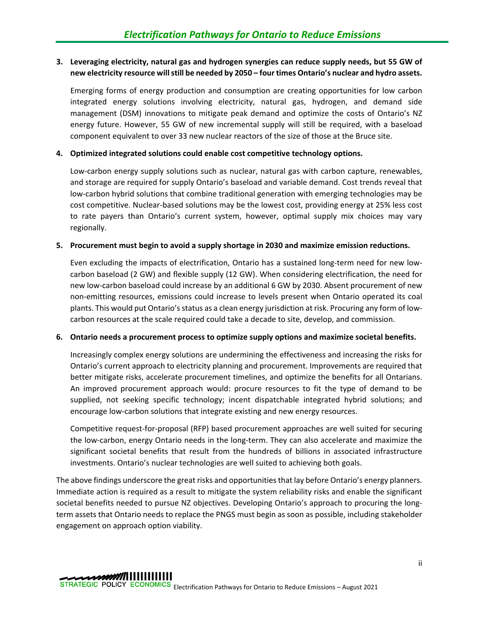## **3. Leveraging electricity, natural gas and hydrogen synergies can reduce supply needs, but 55 GW of new electricity resource willstill be needed by 2050 – four times Ontario's nuclear and hydro assets.**

Emerging forms of energy production and consumption are creating opportunities for low carbon integrated energy solutions involving electricity, natural gas, hydrogen, and demand side management (DSM) innovations to mitigate peak demand and optimize the costs of Ontario's NZ energy future. However, 55 GW of new incremental supply will still be required, with a baseload component equivalent to over 33 new nuclear reactors of the size of those at the Bruce site.

## **4. Optimized integrated solutions could enable cost competitive technology options.**

Low-carbon energy supply solutions such as nuclear, natural gas with carbon capture, renewables, and storage are required for supply Ontario's baseload and variable demand. Cost trends reveal that low-carbon hybrid solutions that combine traditional generation with emerging technologies may be cost competitive. Nuclear-based solutions may be the lowest cost, providing energy at 25% less cost to rate payers than Ontario's current system, however, optimal supply mix choices may vary regionally.

## **5. Procurement must begin to avoid a supply shortage in 2030 and maximize emission reductions.**

Even excluding the impacts of electrification, Ontario has a sustained long-term need for new lowcarbon baseload (2 GW) and flexible supply (12 GW). When considering electrification, the need for new low-carbon baseload could increase by an additional 6 GW by 2030. Absent procurement of new non-emitting resources, emissions could increase to levels present when Ontario operated its coal plants. This would put Ontario's status as a clean energy jurisdiction at risk. Procuring any form of lowcarbon resources at the scale required could take a decade to site, develop, and commission.

## **6. Ontario needs a procurement process to optimize supply options and maximize societal benefits.**

Increasingly complex energy solutions are undermining the effectiveness and increasing the risks for Ontario's current approach to electricity planning and procurement. Improvements are required that better mitigate risks, accelerate procurement timelines, and optimize the benefits for all Ontarians. An improved procurement approach would: procure resources to fit the type of demand to be supplied, not seeking specific technology; incent dispatchable integrated hybrid solutions; and encourage low-carbon solutions that integrate existing and new energy resources.

Competitive request-for-proposal (RFP) based procurement approaches are well suited for securing the low-carbon, energy Ontario needs in the long-term. They can also accelerate and maximize the significant societal benefits that result from the hundreds of billions in associated infrastructure investments. Ontario's nuclear technologies are well suited to achieving both goals.

The above findings underscore the great risks and opportunities that lay before Ontario's energy planners. Immediate action is required as a result to mitigate the system reliability risks and enable the significant societal benefits needed to pursue NZ objectives. Developing Ontario's approach to procuring the longterm assets that Ontario needs to replace the PNGS must begin as soon as possible, including stakeholder engagement on approach option viability.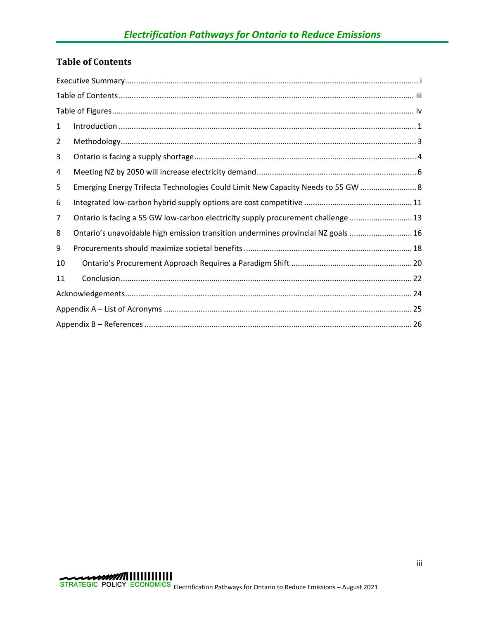# <span id="page-3-0"></span>**Table of Contents**

| 1  |                                                                                   |  |  |
|----|-----------------------------------------------------------------------------------|--|--|
| 2  |                                                                                   |  |  |
| 3  |                                                                                   |  |  |
| 4  |                                                                                   |  |  |
| 5  | Emerging Energy Trifecta Technologies Could Limit New Capacity Needs to 55 GW  8  |  |  |
| 6  |                                                                                   |  |  |
| 7  | Ontario is facing a 55 GW low-carbon electricity supply procurement challenge  13 |  |  |
| 8  | Ontario's unavoidable high emission transition undermines provincial NZ goals  16 |  |  |
| 9  |                                                                                   |  |  |
| 10 |                                                                                   |  |  |
| 11 |                                                                                   |  |  |
|    |                                                                                   |  |  |
|    |                                                                                   |  |  |
|    |                                                                                   |  |  |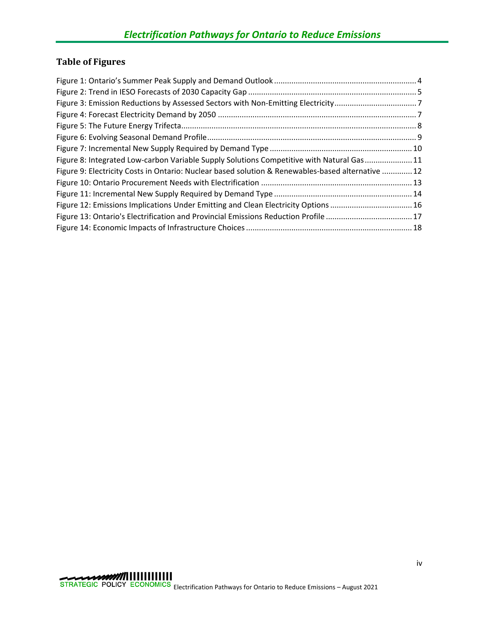# <span id="page-4-0"></span>**Table of Figures**

| Figure 8: Integrated Low-carbon Variable Supply Solutions Competitive with Natural Gas11          |  |
|---------------------------------------------------------------------------------------------------|--|
| Figure 9: Electricity Costs in Ontario: Nuclear based solution & Renewables-based alternative  12 |  |
|                                                                                                   |  |
|                                                                                                   |  |
| Figure 12: Emissions Implications Under Emitting and Clean Electricity Options 16                 |  |
| Figure 13: Ontario's Electrification and Provincial Emissions Reduction Profile 17                |  |
|                                                                                                   |  |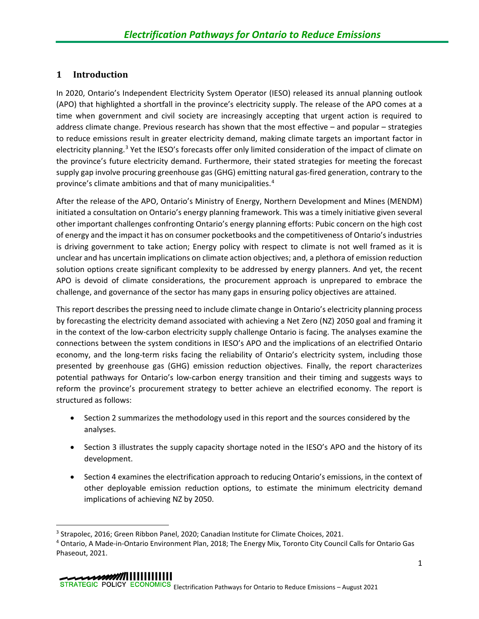## <span id="page-5-0"></span>**1 Introduction**

In 2020, Ontario's Independent Electricity System Operator (IESO) released its annual planning outlook (APO) that highlighted a shortfall in the province's electricity supply. The release of the APO comes at a time when government and civil society are increasingly accepting that urgent action is required to address climate change. Previous research has shown that the most effective – and popular – strategies to reduce emissions result in greater electricity demand, making climate targets an important factor in electricity planning.<sup>[3](#page-5-1)</sup> Yet the IESO's forecasts offer only limited consideration of the impact of climate on the province's future electricity demand. Furthermore, their stated strategies for meeting the forecast supply gap involve procuring greenhouse gas (GHG) emitting natural gas-fired generation, contrary to the province's climate ambitions and that of many municipalities.[4](#page-5-2)

After the release of the APO, Ontario's Ministry of Energy, Northern Development and Mines (MENDM) initiated a consultation on Ontario's energy planning framework. This was a timely initiative given several other important challenges confronting Ontario's energy planning efforts: Pubic concern on the high cost of energy and the impact it has on consumer pocketbooks and the competitiveness of Ontario's industries is driving government to take action; Energy policy with respect to climate is not well framed as it is unclear and has uncertain implications on climate action objectives; and, a plethora of emission reduction solution options create significant complexity to be addressed by energy planners. And yet, the recent APO is devoid of climate considerations, the procurement approach is unprepared to embrace the challenge, and governance of the sector has many gaps in ensuring policy objectives are attained.

This report describes the pressing need to include climate change in Ontario's electricity planning process by forecasting the electricity demand associated with achieving a Net Zero (NZ) 2050 goal and framing it in the context of the low-carbon electricity supply challenge Ontario is facing. The analyses examine the connections between the system conditions in IESO's APO and the implications of an electrified Ontario economy, and the long-term risks facing the reliability of Ontario's electricity system, including those presented by greenhouse gas (GHG) emission reduction objectives. Finally, the report characterizes potential pathways for Ontario's low-carbon energy transition and their timing and suggests ways to reform the province's procurement strategy to better achieve an electrified economy. The report is structured as follows:

- Section 2 summarizes the methodology used in this report and the sources considered by the analyses.
- Section 3 illustrates the supply capacity shortage noted in the IESO's APO and the history of its development.
- Section 4 examines the electrification approach to reducing Ontario's emissions, in the context of other deployable emission reduction options, to estimate the minimum electricity demand implications of achieving NZ by 2050.

<span id="page-5-1"></span><sup>3</sup> Strapolec, 2016; Green Ribbon Panel, 2020; Canadian Institute for Climate Choices, 2021.

<span id="page-5-2"></span><sup>4</sup> Ontario, A Made-in-Ontario Environment Plan, 2018; The Energy Mix, Toronto City Council Calls for Ontario Gas Phaseout, 2021.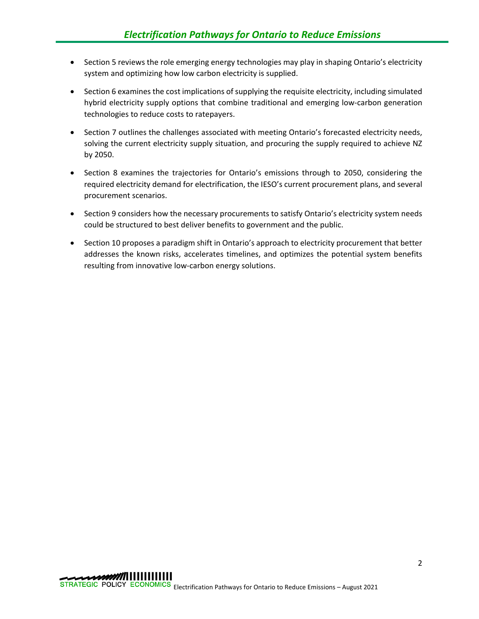- Section 5 reviews the role emerging energy technologies may play in shaping Ontario's electricity system and optimizing how low carbon electricity is supplied.
- Section 6 examines the cost implications of supplying the requisite electricity, including simulated hybrid electricity supply options that combine traditional and emerging low-carbon generation technologies to reduce costs to ratepayers.
- Section 7 outlines the challenges associated with meeting Ontario's forecasted electricity needs, solving the current electricity supply situation, and procuring the supply required to achieve NZ by 2050.
- Section 8 examines the trajectories for Ontario's emissions through to 2050, considering the required electricity demand for electrification, the IESO's current procurement plans, and several procurement scenarios.
- Section 9 considers how the necessary procurements to satisfy Ontario's electricity system needs could be structured to best deliver benefits to government and the public.
- Section 10 proposes a paradigm shift in Ontario's approach to electricity procurement that better addresses the known risks, accelerates timelines, and optimizes the potential system benefits resulting from innovative low-carbon energy solutions.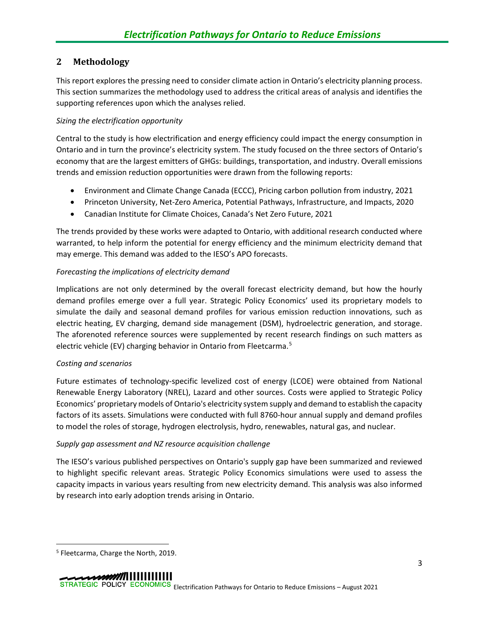# <span id="page-7-0"></span>**2 Methodology**

This report explores the pressing need to consider climate action in Ontario's electricity planning process. This section summarizes the methodology used to address the critical areas of analysis and identifies the supporting references upon which the analyses relied.

## *Sizing the electrification opportunity*

Central to the study is how electrification and energy efficiency could impact the energy consumption in Ontario and in turn the province's electricity system. The study focused on the three sectors of Ontario's economy that are the largest emitters of GHGs: buildings, transportation, and industry. Overall emissions trends and emission reduction opportunities were drawn from the following reports:

- Environment and Climate Change Canada (ECCC), Pricing carbon pollution from industry, 2021
- Princeton University, Net-Zero America, Potential Pathways, Infrastructure, and Impacts, 2020
- Canadian Institute for Climate Choices, Canada's Net Zero Future, 2021

The trends provided by these works were adapted to Ontario, with additional research conducted where warranted, to help inform the potential for energy efficiency and the minimum electricity demand that may emerge. This demand was added to the IESO's APO forecasts.

## *Forecasting the implications of electricity demand*

Implications are not only determined by the overall forecast electricity demand, but how the hourly demand profiles emerge over a full year. Strategic Policy Economics' used its proprietary models to simulate the daily and seasonal demand profiles for various emission reduction innovations, such as electric heating, EV charging, demand side management (DSM), hydroelectric generation, and storage. The aforenoted reference sources were supplemented by recent research findings on such matters as electric vehicle (EV) charging behavior in Ontario from Fleetcarma.<sup>[5](#page-7-1)</sup>

## *Costing and scenarios*

Future estimates of technology-specific levelized cost of energy (LCOE) were obtained from National Renewable Energy Laboratory (NREL), Lazard and other sources. Costs were applied to Strategic Policy Economics' proprietary models of Ontario's electricity system supply and demand to establish the capacity factors of its assets. Simulations were conducted with full 8760-hour annual supply and demand profiles to model the roles of storage, hydrogen electrolysis, hydro, renewables, natural gas, and nuclear.

## *Supply gap assessment and NZ resource acquisition challenge*

The IESO's various published perspectives on Ontario's supply gap have been summarized and reviewed to highlight specific relevant areas. Strategic Policy Economics simulations were used to assess the capacity impacts in various years resulting from new electricity demand. This analysis was also informed by research into early adoption trends arising in Ontario.

<span id="page-7-1"></span><sup>5</sup> Fleetcarma, Charge the North, 2019.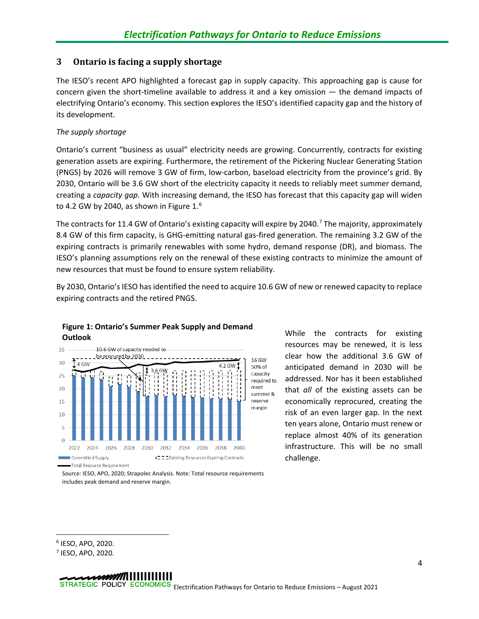## <span id="page-8-0"></span>**3 Ontario is facing a supply shortage**

The IESO's recent APO highlighted a forecast gap in supply capacity. This approaching gap is cause for concern given the short-timeline available to address it and a key omission — the demand impacts of electrifying Ontario's economy. This section explores the IESO's identified capacity gap and the history of its development.

## *The supply shortage*

Ontario's current "business as usual" electricity needs are growing. Concurrently, contracts for existing generation assets are expiring. Furthermore, the retirement of the Pickering Nuclear Generating Station (PNGS) by 2026 will remove 3 GW of firm, low-carbon, baseload electricity from the province's grid. By 2030, Ontario will be 3.6 GW short of the electricity capacity it needs to reliably meet summer demand, creating a *capacity gap*. With increasing demand, the IESO has forecast that this capacity gap will widen to 4.2 GW by 2040, as shown in [Figure 1.](#page-8-1)<sup>[6](#page-8-2)</sup>

The contracts for 11.4 GW of Ontario's existing capacity will expire by 2040.<sup>[7](#page-8-3)</sup> The majority, approximately 8.4 GW of this firm capacity, is GHG-emitting natural gas-fired generation. The remaining 3.2 GW of the expiring contracts is primarily renewables with some hydro, demand response (DR), and biomass. The IESO's planning assumptions rely on the renewal of these existing contracts to minimize the amount of new resources that must be found to ensure system reliability.

By 2030, Ontario's IESO has identified the need to acquire 10.6 GW of new or renewed capacity to replace expiring contracts and the retired PNGS.



## <span id="page-8-1"></span>**Figure 1: Ontario's Summer Peak Supply and Demand Outlook**

While the contracts for existing resources may be renewed, it is less clear how the additional 3.6 GW of anticipated demand in 2030 will be addressed. Nor has it been established that *all* of the existing assets can be economically reprocured, creating the risk of an even larger gap. In the next ten years alone, Ontario must renew or replace almost 40% of its generation infrastructure. This will be no small challenge.

Source: IESO, APO, 2020; Strapolec Analysis. Note: Total resource requirements includes peak demand and reserve margin.

<span id="page-8-2"></span><sup>6</sup> IESO, APO, 2020.

<span id="page-8-3"></span><sup>7</sup> IESO, APO, 2020.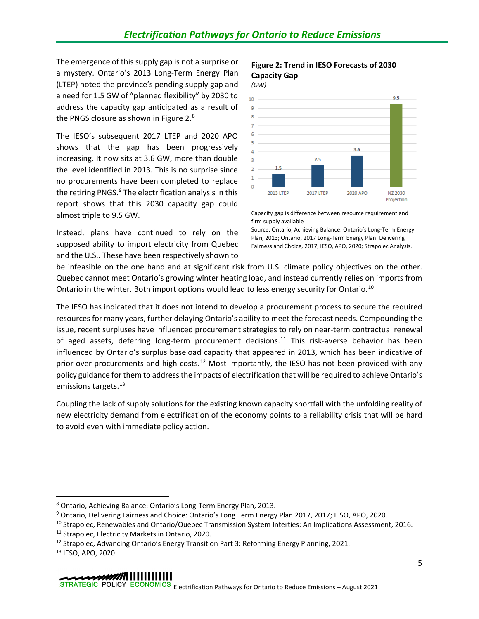The emergence of this supply gap is not a surprise or a mystery. Ontario's 2013 Long-Term Energy Plan (LTEP) noted the province's pending supply gap and a need for 1.5 GW of "planned flexibility" by 2030 to address the capacity gap anticipated as a result of the PNGS closure as shown in Figure 2.<sup>[8](#page-9-0)</sup>

The IESO's subsequent 2017 LTEP and 2020 APO shows that the gap has been progressively increasing. It now sits at 3.6 GW, more than double the level identified in 2013. This is no surprise since no procurements have been completed to replace the retiring PNGS.<sup>[9](#page-9-1)</sup> The electrification analysis in this report shows that this 2030 capacity gap could almost triple to 9.5 GW.

Instead, plans have continued to rely on the supposed ability to import electricity from Quebec and the U.S.. These have been respectively shown to

#### **Figure 2: Trend in IESO Forecasts of 2030 Capacity Gap** *(GW)*



Capacity gap is difference between resource requirement and firm supply available

Source: Ontario, Achieving Balance: Ontario's Long-Term Energy Plan, 2013; Ontario, 2017 Long-Term Energy Plan: Delivering Fairness and Choice, 2017, IESO, APO, 2020; Strapolec Analysis.

be infeasible on the one hand and at significant risk from U.S. climate policy objectives on the other. Quebec cannot meet Ontario's growing winter heating load, and instead currently relies on imports from Ontario in the winter. Both import options would lead to less energy security for Ontario.<sup>[10](#page-9-2)</sup>

The IESO has indicated that it does not intend to develop a procurement process to secure the required resources for many years, further delaying Ontario's ability to meet the forecast needs. Compounding the issue, recent surpluses have influenced procurement strategies to rely on near-term contractual renewal of aged assets, deferring long-term procurement decisions.<sup>[11](#page-9-3)</sup> This risk-averse behavior has been influenced by Ontario's surplus baseload capacity that appeared in 2013, which has been indicative of prior over-procurements and high costs.<sup>[12](#page-9-4)</sup> Most importantly, the IESO has not been provided with any policy guidance for them to address the impacts of electrification that will be required to achieve Ontario's emissions targets.<sup>[13](#page-9-5)</sup>

Coupling the lack of supply solutions for the existing known capacity shortfall with the unfolding reality of new electricity demand from electrification of the economy points to a reliability crisis that will be hard to avoid even with immediate policy action.

<span id="page-9-0"></span><sup>8</sup> Ontario, Achieving Balance: Ontario's Long-Term Energy Plan, 2013.

<span id="page-9-1"></span><sup>9</sup> Ontario, Delivering Fairness and Choice: Ontario's Long Term Energy Plan 2017, 2017; IESO, APO, 2020.

<span id="page-9-2"></span><sup>10</sup> Strapolec, Renewables and Ontario/Quebec Transmission System Interties: An Implications Assessment, 2016.

<span id="page-9-3"></span><sup>11</sup> Strapolec, Electricity Markets in Ontario, 2020.

<span id="page-9-4"></span><sup>&</sup>lt;sup>12</sup> Strapolec, Advancing Ontario's Energy Transition Part 3: Reforming Energy Planning, 2021.

<span id="page-9-5"></span><sup>13</sup> IESO, APO, 2020.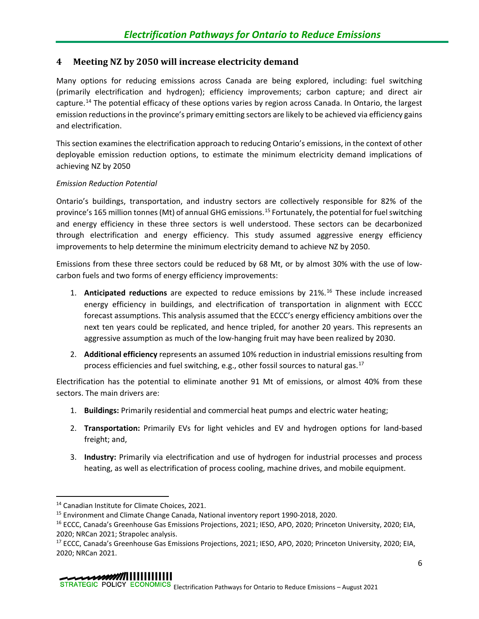# <span id="page-10-0"></span>**4 Meeting NZ by 2050 will increase electricity demand**

Many options for reducing emissions across Canada are being explored, including: fuel switching (primarily electrification and hydrogen); efficiency improvements; carbon capture; and direct air capture.<sup>[14](#page-10-1)</sup> The potential efficacy of these options varies by region across Canada. In Ontario, the largest emission reductions in the province's primary emitting sectors are likely to be achieved via efficiency gains and electrification.

This section examines the electrification approach to reducing Ontario's emissions, in the context of other deployable emission reduction options, to estimate the minimum electricity demand implications of achieving NZ by 2050

## *Emission Reduction Potential*

Ontario's buildings, transportation, and industry sectors are collectively responsible for 82% of the province's 165 million tonnes (Mt) of annual GHG emissions.[15](#page-10-2) Fortunately, the potential for fuel switching and energy efficiency in these three sectors is well understood. These sectors can be decarbonized through electrification and energy efficiency. This study assumed aggressive energy efficiency improvements to help determine the minimum electricity demand to achieve NZ by 2050.

Emissions from these three sectors could be reduced by 68 Mt, or by almost 30% with the use of lowcarbon fuels and two forms of energy efficiency improvements:

- 1. **Anticipated reductions** are expected to reduce emissions by 21%.[16](#page-10-3) These include increased energy efficiency in buildings, and electrification of transportation in alignment with ECCC forecast assumptions. This analysis assumed that the ECCC's energy efficiency ambitions over the next ten years could be replicated, and hence tripled, for another 20 years. This represents an aggressive assumption as much of the low-hanging fruit may have been realized by 2030.
- 2. **Additional efficiency** represents an assumed 10% reduction in industrial emissions resulting from process efficiencies and fuel switching, e.g., other fossil sources to natural gas.<sup>[17](#page-10-4)</sup>

Electrification has the potential to eliminate another 91 Mt of emissions, or almost 40% from these sectors. The main drivers are:

- 1. **Buildings:** Primarily residential and commercial heat pumps and electric water heating;
- 2. **Transportation:** Primarily EVs for light vehicles and EV and hydrogen options for land-based freight; and,
- 3. **Industry:** Primarily via electrification and use of hydrogen for industrial processes and process heating, as well as electrification of process cooling, machine drives, and mobile equipment.

<span id="page-10-1"></span><sup>14</sup> Canadian Institute for Climate Choices, 2021.

<span id="page-10-2"></span><sup>15</sup> Environment and Climate Change Canada, National inventory report 1990-2018, 2020.

<span id="page-10-3"></span><sup>&</sup>lt;sup>16</sup> ECCC, Canada's Greenhouse Gas Emissions Projections, 2021; IESO, APO, 2020; Princeton University, 2020; EIA, 2020; NRCan 2021; Strapolec analysis.

<span id="page-10-4"></span><sup>&</sup>lt;sup>17</sup> ECCC, Canada's Greenhouse Gas Emissions Projections, 2021; IESO, APO, 2020; Princeton University, 2020; EIA, 2020; NRCan 2021.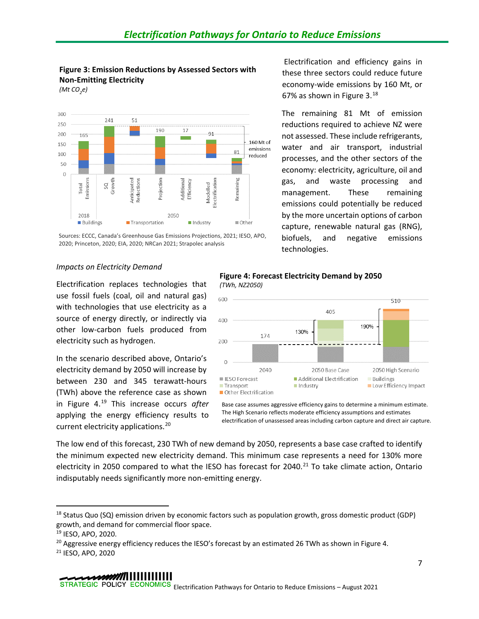# <span id="page-11-0"></span>**Figure 3: Emission Reductions by Assessed Sectors with Non-Emitting Electricity**

*(Mt CO2 e)*



Sources: ECCC, Canada's Greenhouse Gas Emissions Projections, 2021; IESO, APO, 2020; Princeton, 2020; EIA, 2020; NRCan 2021; Strapolec analysis

#### *Impacts on Electricity Demand*

Electrification replaces technologies that use fossil fuels (coal, oil and natural gas) with technologies that use electricity as a source of energy directly, or indirectly via other low-carbon fuels produced from electricity such as hydrogen.

In the scenario described above, Ontario's electricity demand by 2050 will increase by between 230 and 345 terawatt-hours (TWh) above the reference case as shown in [Figure 4.](#page-11-1) [19](#page-11-3) This increase occurs *after* applying the energy efficiency results to current electricity applications. [20](#page-11-4)

<span id="page-11-1"></span>**Figure 4: Forecast Electricity Demand by 2050** *(TWh, NZ2050)*



Base case assumes aggressive efficiency gains to determine a minimum estimate. The High Scenario reflects moderate efficiency assumptions and estimates electrification of unassessed areas including carbon capture and direct air capture.

The low end of this forecast, 230 TWh of new demand by 2050, represents a base case crafted to identify the minimum expected new electricity demand. This minimum case represents a need for 130% more electricity in 2050 compared to what the IESO has forecast for 2040.<sup>[21](#page-11-5)</sup> To take climate action, Ontario indisputably needs significantly more non-emitting energy.

# 

Electrification and efficiency gains in these three sectors could reduce future economy-wide emissions by 160 Mt, or 67% as shown in [Figure 3.](#page-11-0) $^{18}$  $^{18}$  $^{18}$ 

The remaining 81 Mt of emission reductions required to achieve NZ were not assessed. These include refrigerants, water and air transport, industrial processes, and the other sectors of the economy: electricity, agriculture, oil and gas, and waste processing and management. These remaining emissions could potentially be reduced by the more uncertain options of carbon capture, renewable natural gas (RNG), biofuels, and negative emissions technologies.

<span id="page-11-2"></span><sup>&</sup>lt;sup>18</sup> Status Quo (SQ) emission driven by economic factors such as population growth, gross domestic product (GDP) growth, and demand for commercial floor space.

<span id="page-11-3"></span><sup>19</sup> IESO, APO, 2020.

<span id="page-11-4"></span><sup>&</sup>lt;sup>20</sup> Aggressive energy efficiency reduces the IESO's forecast by an estimated 26 TWh as shown in Figure 4.

<span id="page-11-5"></span><sup>21</sup> IESO, APO, 2020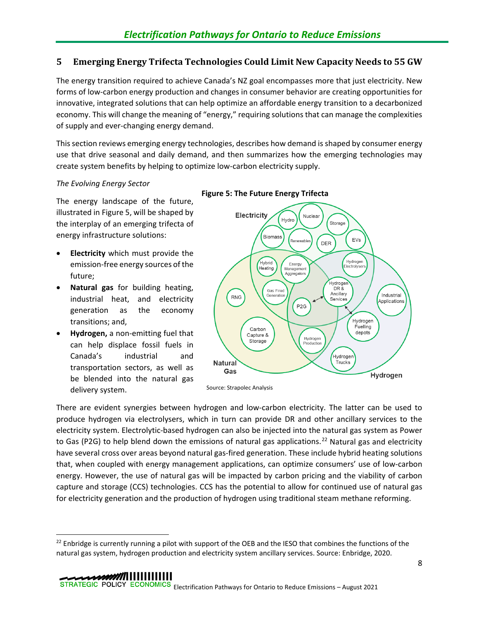## <span id="page-12-0"></span>**5 Emerging Energy Trifecta Technologies Could Limit New Capacity Needs to 55 GW**

The energy transition required to achieve Canada's NZ goal encompasses more that just electricity. New forms of low-carbon energy production and changes in consumer behavior are creating opportunities for innovative, integrated solutions that can help optimize an affordable energy transition to a decarbonized economy. This will change the meaning of "energy," requiring solutions that can manage the complexities of supply and ever-changing energy demand.

This section reviews emerging energy technologies, describes how demand is shaped by consumer energy use that drive seasonal and daily demand, and then summarizes how the emerging technologies may create system benefits by helping to optimize low-carbon electricity supply.

## *The Evolving Energy Sector*

The energy landscape of the future, illustrated in Figure 5, will be shaped by the interplay of an emerging trifecta of energy infrastructure solutions:

- **Electricity** which must provide the emission-free energy sources of the future;
- **Natural gas** for building heating, industrial heat, and electricity generation as the economy transitions; and,
- **Hydrogen,** a non-emitting fuel that can help displace fossil fuels in Canada's industrial and transportation sectors, as well as be blended into the natural gas delivery system.

<span id="page-12-2"></span>



There are evident synergies between hydrogen and low-carbon electricity. The latter can be used to produce hydrogen via electrolysers, which in turn can provide DR and other ancillary services to the electricity system. Electrolytic-based hydrogen can also be injected into the natural gas system as Power to Gas (P2G) to help blend down the emissions of natural gas applications.<sup>[22](#page-12-1)</sup> Natural gas and electricity have several cross over areas beyond natural gas-fired generation. These include hybrid heating solutions that, when coupled with energy management applications, can optimize consumers' use of low-carbon energy. However, the use of natural gas will be impacted by carbon pricing and the viability of carbon capture and storage (CCS) technologies. CCS has the potential to allow for continued use of natural gas for electricity generation and the production of hydrogen using traditional steam methane reforming.

<span id="page-12-1"></span> $^{22}$  Enbridge is currently running a pilot with support of the OEB and the IESO that combines the functions of the natural gas system, hydrogen production and electricity system ancillary services. Source: Enbridge, 2020.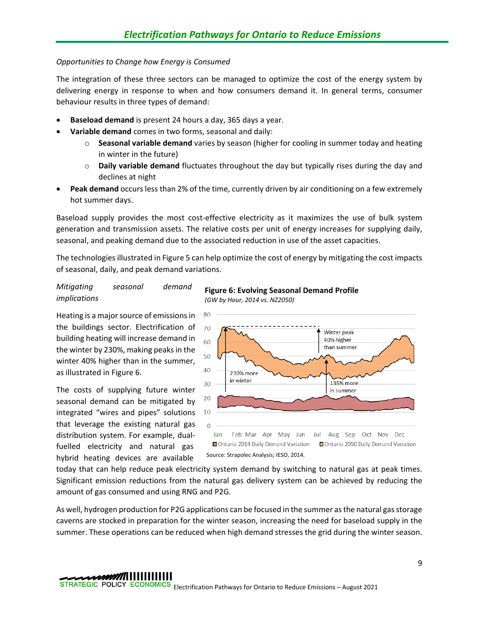## *Opportunities to Change how Energy is Consumed*

The integration of these three sectors can be managed to optimize the cost of the energy system by delivering energy in response to when and how consumers demand it. In general terms, consumer behaviour results in three types of demand:

- **Baseload demand** is present 24 hours a day, 365 days a year.
- **Variable demand** comes in two forms, seasonal and daily:
	- o **Seasonal variable demand** varies by season (higher for cooling in summer today and heating in winter in the future)
	- o **Daily variable demand** fluctuates throughout the day but typically rises during the day and declines at night
- **Peak demand** occurs less than 2% of the time, currently driven by air conditioning on a few extremely hot summer days.

Baseload supply provides the most cost-effective electricity as it maximizes the use of bulk system generation and transmission assets. The relative costs per unit of energy increases for supplying daily, seasonal, and peaking demand due to the associated reduction in use of the asset capacities.

The technologies illustrated i[n Figure 5](#page-12-2) can help optimize the cost of energy by mitigating the cost impacts of seasonal, daily, and peak demand variations.

## *Mitigating seasonal demand implications*

Heating is a major source of emissions in the buildings sector. Electrification of building heating will increase demand in the winter by 230%, making peaks in the winter 40% higher than in the summer, as illustrated i[n Figure 6.](#page-13-0)

The costs of supplying future winter seasonal demand can be mitigated by integrated "wires and pipes" solutions that leverage the existing natural gas distribution system. For example, dualfuelled electricity and natural gas hybrid heating devices are available

<span id="page-13-0"></span>



today that can help reduce peak electricity system demand by switching to natural gas at peak times. Significant emission reductions from the natural gas delivery system can be achieved by reducing the amount of gas consumed and using RNG and P2G.

As well, hydrogen production for P2G applications can be focused in the summer as the natural gas storage caverns are stocked in preparation for the winter season, increasing the need for baseload supply in the summer. These operations can be reduced when high demand stresses the grid during the winter season.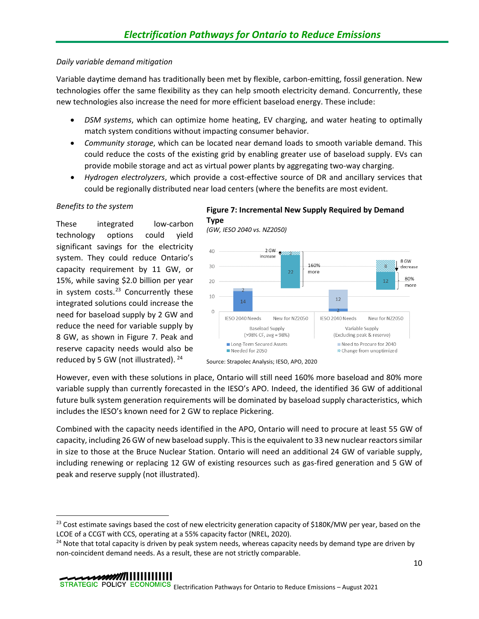## *Daily variable demand mitigation*

Variable daytime demand has traditionally been met by flexible, carbon-emitting, fossil generation. New technologies offer the same flexibility as they can help smooth electricity demand. Concurrently, these new technologies also increase the need for more efficient baseload energy. These include:

- *DSM systems*, which can optimize home heating, EV charging, and water heating to optimally match system conditions without impacting consumer behavior.
- *Community storage*, which can be located near demand loads to smooth variable demand. This could reduce the costs of the existing grid by enabling greater use of baseload supply. EVs can provide mobile storage and act as virtual power plants by aggregating two-way charging.
- *Hydrogen electrolyzers*, which provide a cost-effective source of DR and ancillary services that could be regionally distributed near load centers (where the benefits are most evident.

## *Benefits to the system*

These integrated low-carbon technology options could yield significant savings for the electricity system. They could reduce Ontario's capacity requirement by 11 GW, or 15%, while saving \$2.0 billion per year in system costs.<sup>[23](#page-14-1)</sup> Concurrently these integrated solutions could increase the need for baseload supply by 2 GW and reduce the need for variable supply by 8 GW, as shown in [Figure 7.](#page-14-0) Peak and reserve capacity needs would also be reduced by 5 GW (not illustrated). [24](#page-14-2)

## <span id="page-14-0"></span>**Figure 7: Incremental New Supply Required by Demand Type**

*(GW, IESO 2040 vs. NZ2050)*





However, even with these solutions in place, Ontario will still need 160% more baseload and 80% more variable supply than currently forecasted in the IESO's APO. Indeed, the identified 36 GW of additional future bulk system generation requirements will be dominated by baseload supply characteristics, which includes the IESO's known need for 2 GW to replace Pickering.

Combined with the capacity needs identified in the APO, Ontario will need to procure at least 55 GW of capacity, including 26 GW of new baseload supply. This is the equivalent to 33 new nuclear reactors similar in size to those at the Bruce Nuclear Station. Ontario will need an additional 24 GW of variable supply, including renewing or replacing 12 GW of existing resources such as gas-fired generation and 5 GW of peak and reserve supply (not illustrated).

<span id="page-14-1"></span><sup>&</sup>lt;sup>23</sup> Cost estimate savings based the cost of new electricity generation capacity of \$180K/MW per year, based on the LCOE of a CCGT with CCS, operating at a 55% capacity factor (NREL, 2020).

<span id="page-14-2"></span> $24$  Note that total capacity is driven by peak system needs, whereas capacity needs by demand type are driven by non-coincident demand needs. As a result, these are not strictly comparable.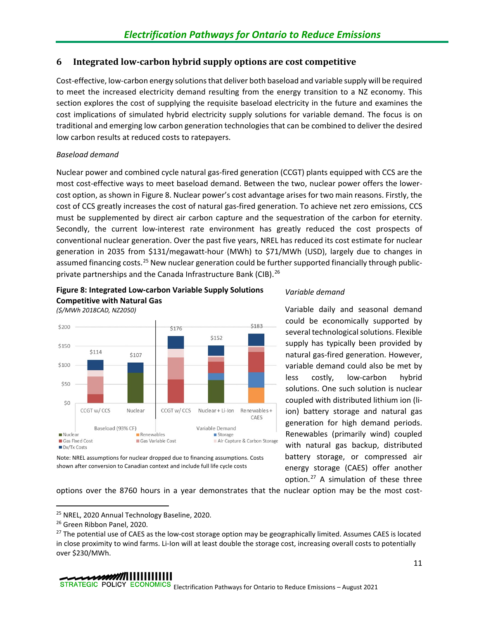## <span id="page-15-0"></span>**6 Integrated low-carbon hybrid supply options are cost competitive**

Cost-effective, low-carbon energy solutions that deliver both baseload and variable supply will be required to meet the increased electricity demand resulting from the energy transition to a NZ economy. This section explores the cost of supplying the requisite baseload electricity in the future and examines the cost implications of simulated hybrid electricity supply solutions for variable demand. The focus is on traditional and emerging low carbon generation technologies that can be combined to deliver the desired low carbon results at reduced costs to ratepayers.

## *Baseload demand*

Nuclear power and combined cycle natural gas-fired generation (CCGT) plants equipped with CCS are the most cost-effective ways to meet baseload demand. Between the two, nuclear power offers the lowercost option, as shown in [Figure 8.](#page-15-1) Nuclear power's cost advantage arises for two main reasons. Firstly, the cost of CCS greatly increases the cost of natural gas-fired generation. To achieve net zero emissions, CCS must be supplemented by direct air carbon capture and the sequestration of the carbon for eternity. Secondly, the current low-interest rate environment has greatly reduced the cost prospects of conventional nuclear generation. Over the past five years, NREL has reduced its cost estimate for nuclear generation in 2035 from \$131/megawatt-hour (MWh) to \$71/MWh (USD), largely due to changes in assumed financing costs.<sup>[25](#page-15-2)</sup> New nuclear generation could be further supported financially through public-private partnerships and the Canada Infrastructure Bank (CIB).<sup>[26](#page-15-3)</sup>

<span id="page-15-1"></span>





Variable daily and seasonal demand could be economically supported by several technological solutions. Flexible supply has typically been provided by natural gas-fired generation. However, variable demand could also be met by less costly, low-carbon hybrid solutions. One such solution is nuclear coupled with distributed lithium ion (liion) battery storage and natural gas generation for high demand periods. Renewables (primarily wind) coupled with natural gas backup, distributed battery storage, or compressed air energy storage (CAES) offer another option. [27](#page-15-4) A simulation of these three

Note: NREL assumptions for nuclear dropped due to financing assumptions. Costs shown after conversion to Canadian context and include full life cycle costs

options over the 8760 hours in a year demonstrates that the nuclear option may be the most cost-

<span id="page-15-2"></span><sup>25</sup> NREL, 2020 Annual Technology Baseline, 2020.

<span id="page-15-3"></span><sup>&</sup>lt;sup>26</sup> Green Ribbon Panel, 2020.

<span id="page-15-4"></span><sup>&</sup>lt;sup>27</sup> The potential use of CAES as the low-cost storage option may be geographically limited. Assumes CAES is located in close proximity to wind farms. Li-Ion will at least double the storage cost, increasing overall costs to potentially over \$230/MWh.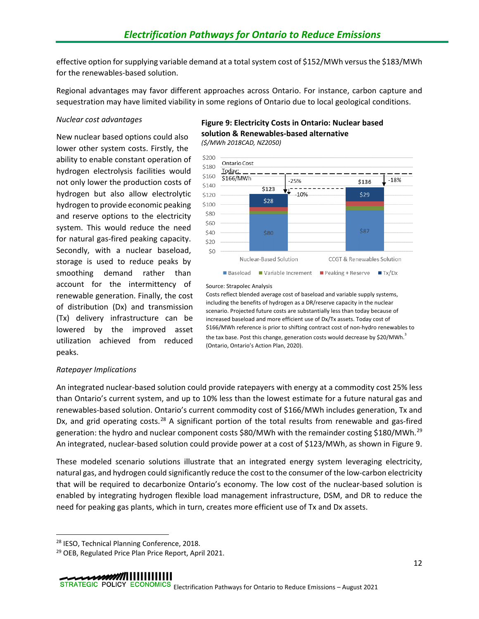effective option for supplying variable demand at a total system cost of \$152/MWh versus the \$183/MWh for the renewables-based solution.

Regional advantages may favor different approaches across Ontario. For instance, carbon capture and sequestration may have limited viability in some regions of Ontario due to local geological conditions.

#### *Nuclear cost advantages*

New nuclear based options could also lower other system costs. Firstly, the ability to enable constant operation of hydrogen electrolysis facilities would not only lower the production costs of hydrogen but also allow electrolytic hydrogen to provide economic peaking and reserve options to the electricity system. This would reduce the need for natural gas-fired peaking capacity. Secondly, with a nuclear baseload, storage is used to reduce peaks by smoothing demand rather than account for the intermittency of renewable generation. Finally, the cost of distribution (Dx) and transmission (Tx) delivery infrastructure can be lowered by the improved asset utilization achieved from reduced peaks.

#### <span id="page-16-0"></span>**Figure 9: Electricity Costs in Ontario: Nuclear based solution & Renewables-based alternative** *(\$/MWh 2018CAD, NZ2050)*

\$200 Ontario Cost \$180 Today: \$160 \$166/MWh  $-18%$  $-25%$ \$136 \$140 \$123  $-10%$ \$29 \$120  $$28$ \$100 \$80 \$60 \$87 \$40 \$80 \$20  $$0$ Nuclear-Based Solution CCGT & Renewables Solution **Baseload** Variable Increment **Peaking + Reserve**  $T_X/D_X$ 

#### Source: Strapolec Analysis

Costs reflect blended average cost of baseload and variable supply systems, including the benefits of hydrogen as a DR/reserve capacity in the nuclear scenario. Projected future costs are substantially less than today because of increased baseload and more efficient use of Dx/Tx assets. Today cost of \$166/MWh reference is prior to shifting contract cost of non-hydro renewables to the tax base. Post this change, generation costs would decrease by \$20/MWh. $^3$ (Ontario, Ontario's Action Plan, 2020).

## *Ratepayer Implications*

An integrated nuclear-based solution could provide ratepayers with energy at a commodity cost 25% less than Ontario's current system, and up to 10% less than the lowest estimate for a future natural gas and renewables-based solution. Ontario's current commodity cost of \$166/MWh includes generation, Tx and Dx, and grid operating costs.<sup>[28](#page-16-1)</sup> A significant portion of the total results from renewable and gas-fired generation: the hydro and nuclear component costs \$80/MWh with the remainder costing \$180/MWh.<sup>[29](#page-16-2)</sup> An integrated, nuclear-based solution could provide power at a cost of \$123/MWh, as shown in [Figure 9.](#page-16-0)

These modeled scenario solutions illustrate that an integrated energy system leveraging electricity, natural gas, and hydrogen could significantly reduce the cost to the consumer of the low-carbon electricity that will be required to decarbonize Ontario's economy. The low cost of the nuclear-based solution is enabled by integrating hydrogen flexible load management infrastructure, DSM, and DR to reduce the need for peaking gas plants, which in turn, creates more efficient use of Tx and Dx assets.

<span id="page-16-1"></span><sup>&</sup>lt;sup>28</sup> IESO, Technical Planning Conference, 2018.

<span id="page-16-2"></span><sup>29</sup> OEB, Regulated Price Plan Price Report, April 2021.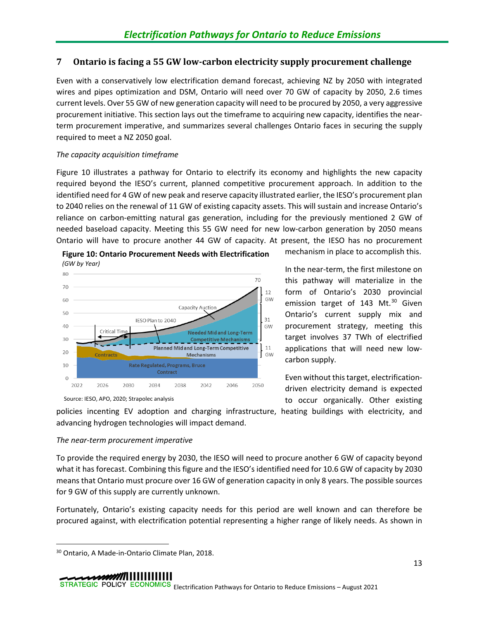## <span id="page-17-0"></span>**7 Ontario is facing a 55 GW low-carbon electricity supply procurement challenge**

Even with a conservatively low electrification demand forecast, achieving NZ by 2050 with integrated wires and pipes optimization and DSM, Ontario will need over 70 GW of capacity by 2050, 2.6 times current levels. Over 55 GW of new generation capacity will need to be procured by 2050, a very aggressive procurement initiative. This section lays out the timeframe to acquiring new capacity, identifies the nearterm procurement imperative, and summarizes several challenges Ontario faces in securing the supply required to meet a NZ 2050 goal.

## *The capacity acquisition timeframe*

[Figure 10](#page-17-1) illustrates a pathway for Ontario to electrify its economy and highlights the new capacity required beyond the IESO's current, planned competitive procurement approach. In addition to the identified need for 4 GW of new peak and reserve capacity illustrated earlier, the IESO's procurement plan to 2040 relies on the renewal of 11 GW of existing capacity assets. This will sustain and increase Ontario's reliance on carbon-emitting natural gas generation, including for the previously mentioned 2 GW of needed baseload capacity. Meeting this 55 GW need for new low-carbon generation by 2050 means Ontario will have to procure another 44 GW of capacity. At present, the IESO has no procurement

<span id="page-17-1"></span>

mechanism in place to accomplish this.

In the near-term, the first milestone on this pathway will materialize in the form of Ontario's 2030 provincial emission target of 143 Mt.<sup>[30](#page-17-2)</sup> Given Ontario's current supply mix and procurement strategy, meeting this target involves 37 TWh of electrified applications that will need new lowcarbon supply.

Even without this target, electrificationdriven electricity demand is expected to occur organically. Other existing

policies incenting EV adoption and charging infrastructure, heating buildings with electricity, and advancing hydrogen technologies will impact demand.

# *The near-term procurement imperative*

To provide the required energy by 2030, the IESO will need to procure another 6 GW of capacity beyond what it has forecast. Combining this figure and the IESO's identified need for 10.6 GW of capacity by 2030 means that Ontario must procure over 16 GW of generation capacity in only 8 years. The possible sources for 9 GW of this supply are currently unknown.

Fortunately, Ontario's existing capacity needs for this period are well known and can therefore be procured against, with electrification potential representing a higher range of likely needs. As shown in

# 

<span id="page-17-2"></span><sup>30</sup> Ontario, A Made-in-Ontario Climate Plan, 2018.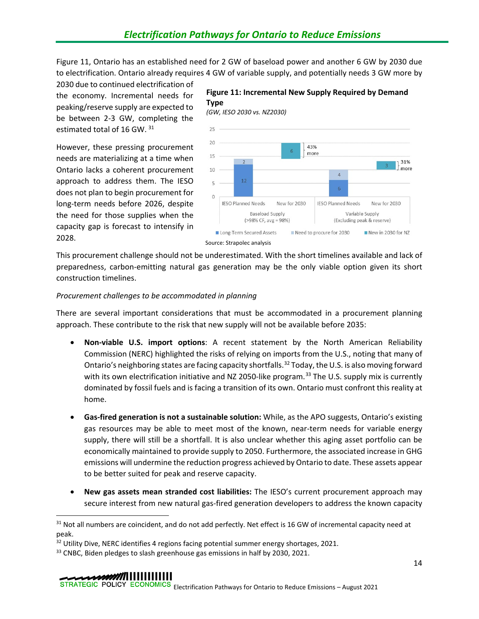[Figure 11,](#page-18-0) Ontario has an established need for 2 GW of baseload power and another 6 GW by 2030 due to electrification. Ontario already requires 4 GW of variable supply, and potentially needs 3 GW more by

2030 due to continued electrification of the economy. Incremental needs for peaking/reserve supply are expected to be between 2-3 GW, completing the estimated total of 16 GW. [31](#page-18-1)

However, these pressing procurement needs are materializing at a time when Ontario lacks a coherent procurement approach to address them. The IESO does not plan to begin procurement for long-term needs before 2026, despite the need for those supplies when the capacity gap is forecast to intensify in 2028.

## <span id="page-18-0"></span>**Figure 11: Incremental New Supply Required by Demand Type**

*(GW, IESO 2030 vs. NZ2030)*



This procurement challenge should not be underestimated. With the short timelines available and lack of preparedness, carbon-emitting natural gas generation may be the only viable option given its short construction timelines.

## *Procurement challenges to be accommodated in planning*

There are several important considerations that must be accommodated in a procurement planning approach. These contribute to the risk that new supply will not be available before 2035:

- **Non-viable U.S. import options**: A recent statement by the North American Reliability Commission (NERC) highlighted the risks of relying on imports from the U.S., noting that many of Ontario's neighboring states are facing capacity shortfalls.<sup>32</sup> Today, the U.S. is also moving forward with its own electrification initiative and NZ 2050-like program.<sup>[33](#page-18-3)</sup> The U.S. supply mix is currently dominated by fossil fuels and is facing a transition of its own. Ontario must confront this reality at home.
- **Gas-fired generation is not a sustainable solution:** While, as the APO suggests, Ontario's existing gas resources may be able to meet most of the known, near-term needs for variable energy supply, there will still be a shortfall. It is also unclear whether this aging asset portfolio can be economically maintained to provide supply to 2050. Furthermore, the associated increase in GHG emissions will undermine the reduction progress achieved by Ontario to date. These assets appear to be better suited for peak and reserve capacity.
- **New gas assets mean stranded cost liabilities:** The IESO's current procurement approach may secure interest from new natural gas-fired generation developers to address the known capacity

# 

<span id="page-18-1"></span><sup>&</sup>lt;sup>31</sup> Not all numbers are coincident, and do not add perfectly. Net effect is 16 GW of incremental capacity need at peak.

<span id="page-18-2"></span> $32$  Utility Dive, NERC identifies 4 regions facing potential summer energy shortages, 2021.

<span id="page-18-3"></span><sup>&</sup>lt;sup>33</sup> CNBC, Biden pledges to slash greenhouse gas emissions in half by 2030, 2021.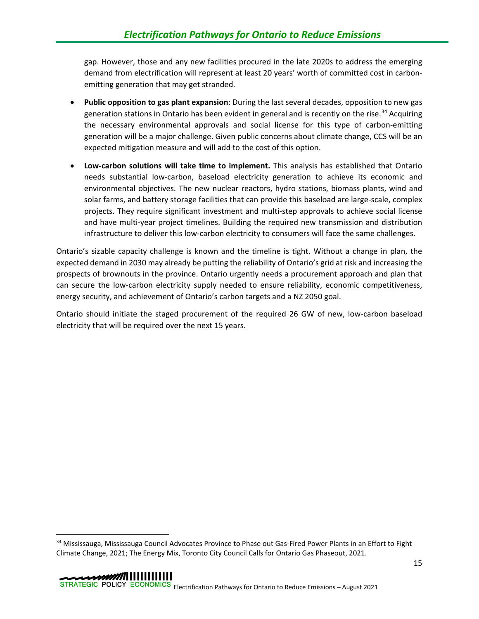gap. However, those and any new facilities procured in the late 2020s to address the emerging demand from electrification will represent at least 20 years' worth of committed cost in carbonemitting generation that may get stranded.

- **Public opposition to gas plant expansion**: During the last several decades, opposition to new gas generation stations in Ontario has been evident in general and is recently on the rise.<sup>[34](#page-19-0)</sup> Acquiring the necessary environmental approvals and social license for this type of carbon-emitting generation will be a major challenge. Given public concerns about climate change, CCS will be an expected mitigation measure and will add to the cost of this option.
- **Low-carbon solutions will take time to implement.** This analysis has established that Ontario needs substantial low-carbon, baseload electricity generation to achieve its economic and environmental objectives. The new nuclear reactors, hydro stations, biomass plants, wind and solar farms, and battery storage facilities that can provide this baseload are large-scale, complex projects. They require significant investment and multi-step approvals to achieve social license and have multi-year project timelines. Building the required new transmission and distribution infrastructure to deliver this low-carbon electricity to consumers will face the same challenges.

Ontario's sizable capacity challenge is known and the timeline is tight. Without a change in plan, the expected demand in 2030 may already be putting the reliability of Ontario's grid at risk and increasing the prospects of brownouts in the province. Ontario urgently needs a procurement approach and plan that can secure the low-carbon electricity supply needed to ensure reliability, economic competitiveness, energy security, and achievement of Ontario's carbon targets and a NZ 2050 goal.

Ontario should initiate the staged procurement of the required 26 GW of new, low-carbon baseload electricity that will be required over the next 15 years.

<span id="page-19-0"></span><sup>&</sup>lt;sup>34</sup> Mississauga, Mississauga Council Advocates Province to Phase out Gas-Fired Power Plants in an Effort to Fight Climate Change, 2021; The Energy Mix, Toronto City Council Calls for Ontario Gas Phaseout, 2021.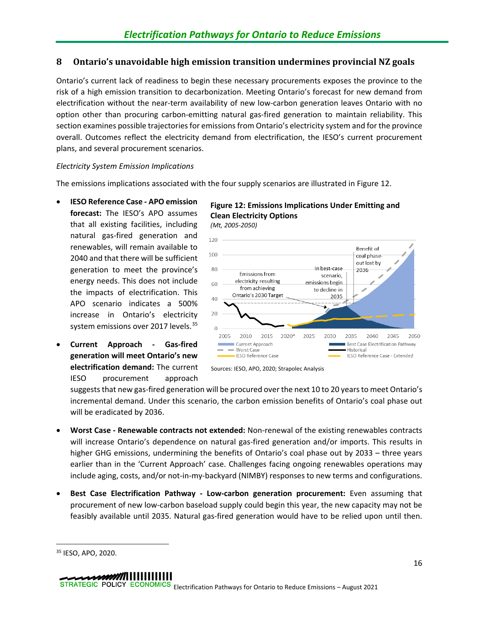## <span id="page-20-0"></span>**8 Ontario's unavoidable high emission transition undermines provincial NZ goals**

Ontario's current lack of readiness to begin these necessary procurements exposes the province to the risk of a high emission transition to decarbonization. Meeting Ontario's forecast for new demand from electrification without the near-term availability of new low-carbon generation leaves Ontario with no option other than procuring carbon-emitting natural gas-fired generation to maintain reliability. This section examines possible trajectories for emissions from Ontario's electricity system and for the province overall. Outcomes reflect the electricity demand from electrification, the IESO's current procurement plans, and several procurement scenarios.

## *Electricity System Emission Implications*

The emissions implications associated with the four supply scenarios are illustrated in [Figure 12.](#page-20-1)

- **IESO Reference Case - APO emission forecast:** The IESO's APO assumes that all existing facilities, including natural gas-fired generation and renewables, will remain available to 2040 and that there will be sufficient generation to meet the province's energy needs. This does not include the impacts of electrification. This APO scenario indicates a 500% increase in Ontario's electricity system emissions over 2017 levels.<sup>[35](#page-20-2)</sup>
- **Current Approach - Gas-fired generation will meet Ontario's new electrification demand:** The current IESO procurement approach

<span id="page-20-1"></span>**Figure 12: Emissions Implications Under Emitting and Clean Electricity Options** *(Mt, 2005-2050)*



Sources: IESO, APO, 2020; Strapolec Analysis

suggests that new gas-fired generation will be procured over the next 10 to 20 years to meet Ontario's incremental demand. Under this scenario, the carbon emission benefits of Ontario's coal phase out will be eradicated by 2036.

- **Worst Case - Renewable contracts not extended:** Non-renewal of the existing renewables contracts will increase Ontario's dependence on natural gas-fired generation and/or imports. This results in higher GHG emissions, undermining the benefits of Ontario's coal phase out by 2033 – three years earlier than in the 'Current Approach' case. Challenges facing ongoing renewables operations may include aging, costs, and/or not-in-my-backyard (NIMBY) responses to new terms and configurations.
- **Best Case Electrification Pathway - Low-carbon generation procurement:** Even assuming that procurement of new low-carbon baseload supply could begin this year, the new capacity may not be feasibly available until 2035. Natural gas-fired generation would have to be relied upon until then.

<span id="page-20-2"></span><sup>35</sup> IESO, APO, 2020.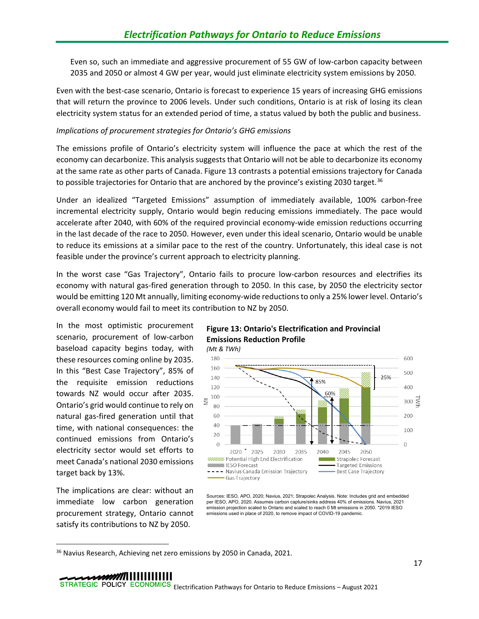Even so, such an immediate and aggressive procurement of 55 GW of low-carbon capacity between 2035 and 2050 or almost 4 GW per year, would just eliminate electricity system emissions by 2050.

Even with the best-case scenario, Ontario is forecast to experience 15 years of increasing GHG emissions that will return the province to 2006 levels. Under such conditions, Ontario is at risk of losing its clean electricity system status for an extended period of time, a status valued by both the public and business.

## *Implications of procurement strategies for Ontario's GHG emissions*

The emissions profile of Ontario's electricity system will influence the pace at which the rest of the economy can decarbonize. This analysis suggests that Ontario will not be able to decarbonize its economy at the same rate as other parts of Canada. [Figure 13](#page-21-0) contrasts a potential emissions trajectory for Canada to possible trajectories for Ontario that are anchored by the province's existing 2030 target.<sup>[36](#page-21-1)</sup>

Under an idealized "Targeted Emissions" assumption of immediately available, 100% carbon-free incremental electricity supply, Ontario would begin reducing emissions immediately. The pace would accelerate after 2040, with 60% of the required provincial economy-wide emission reductions occurring in the last decade of the race to 2050. However, even under this ideal scenario, Ontario would be unable to reduce its emissions at a similar pace to the rest of the country. Unfortunately, this ideal case is not feasible under the province's current approach to electricity planning.

In the worst case "Gas Trajectory", Ontario fails to procure low-carbon resources and electrifies its economy with natural gas-fired generation through to 2050. In this case, by 2050 the electricity sector would be emitting 120 Mt annually, limiting economy-wide reductions to only a 25% lower level. Ontario's overall economy would fail to meet its contribution to NZ by 2050.

In the most optimistic procurement scenario, procurement of low-carbon baseload capacity begins today, with these resources coming online by 2035. In this "Best Case Trajectory", 85% of the requisite emission reductions towards NZ would occur after 2035. Ontario's grid would continue to rely on natural gas-fired generation until that time, with national consequences: the continued emissions from Ontario's electricity sector would set efforts to meet Canada's national 2030 emissions target back by 13%.

The implications are clear: without an immediate low carbon generation procurement strategy, Ontario cannot satisfy its contributions to NZ by 2050.

<span id="page-21-0"></span>



Sources: IESO, APO, 2020; Navius, 2021; Strapolec Analysis. Note: Includes grid and embedded per IESO, APO, 2020. Assumes carbon capture/sinks address 40% of emissions. Navius, 2021 emission projection scaled to Ontario and scaled to reach 0 Mt emissions in 2050. \*2019 IESO emissions used in place of 2020, to remove impact of COVID-19 pandemic.

<span id="page-21-1"></span><sup>&</sup>lt;sup>36</sup> Navius Research, Achieving net zero emissions by 2050 in Canada, 2021.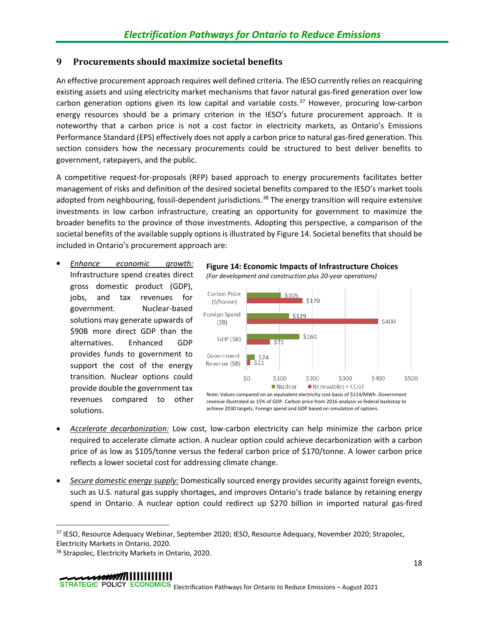## <span id="page-22-0"></span>**9 Procurements should maximize societal benefits**

An effective procurement approach requires well defined criteria. The IESO currently relies on reacquiring existing assets and using electricity market mechanisms that favor natural gas-fired generation over low carbon generation options given its low capital and variable costs.<sup>[37](#page-22-2)</sup> However, procuring low-carbon energy resources should be a primary criterion in the IESO's future procurement approach. It is noteworthy that a carbon price is not a cost factor in electricity markets, as Ontario's Emissions Performance Standard (EPS) effectively does not apply a carbon price to natural gas-fired generation. This section considers how the necessary procurements could be structured to best deliver benefits to government, ratepayers, and the public.

A competitive request-for-proposals (RFP) based approach to energy procurements facilitates better management of risks and definition of the desired societal benefits compared to the IESO's market tools adopted from neighbouring, fossil-dependent jurisdictions.<sup>[38](#page-22-3)</sup> The energy transition will require extensive investments in low carbon infrastructure, creating an opportunity for government to maximize the broader benefits to the province of those investments. Adopting this perspective, a comparison of the societal benefits of the available supply options is illustrated by [Figure 14.](#page-22-1) Societal benefits that should be included in Ontario's procurement approach are:

• *Enhance economic growth:* Infrastructure spend creates direct gross domestic product (GDP), jobs, and tax revenues for government. Nuclear-based solutions may generate upwards of \$90B more direct GDP than the alternatives. Enhanced GDP provides funds to government to support the cost of the energy transition. Nuclear options could provide double the government tax revenues compared to other solutions.

<span id="page-22-1"></span>**Figure 14: Economic Impacts of Infrastructure Choices** *(For development and construction plus 20-year operations)*



Note: Values compared on an equivalent electricity cost basis of \$114/MWh. Government revenue illustrated as 15% of GDP. Carbon price from 2016 analysis vs federal backstop to achieve 2030 targets. Foreign spend and GDP based on simulation of options.

- *Accelerate decarbonization:* Low cost, low-carbon electricity can help minimize the carbon price required to accelerate climate action. A nuclear option could achieve decarbonization with a carbon price of as low as \$105/tonne versus the federal carbon price of \$170/tonne. A lower carbon price reflects a lower societal cost for addressing climate change.
- *Secure domestic energy supply:* Domestically sourced energy provides security against foreign events, such as U.S. natural gas supply shortages, and improves Ontario's trade balance by retaining energy spend in Ontario. A nuclear option could redirect up \$270 billion in imported natural gas-fired

<span id="page-22-2"></span><sup>37</sup> IESO, Resource Adequacy Webinar, September 2020; IESO, Resource Adequacy, November 2020; Strapolec, Electricity Markets in Ontario, 2020.

<span id="page-22-3"></span><sup>38</sup> Strapolec, Electricity Markets in Ontario, 2020.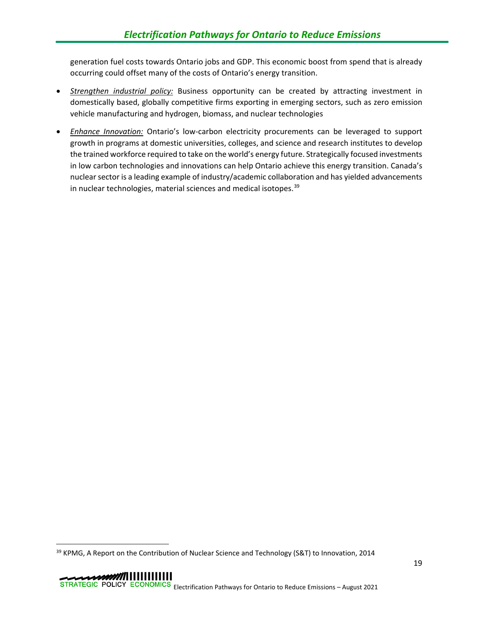generation fuel costs towards Ontario jobs and GDP. This economic boost from spend that is already occurring could offset many of the costs of Ontario's energy transition.

- *Strengthen industrial policy:* Business opportunity can be created by attracting investment in domestically based, globally competitive firms exporting in emerging sectors, such as zero emission vehicle manufacturing and hydrogen, biomass, and nuclear technologies
- *Enhance Innovation:* Ontario's low-carbon electricity procurements can be leveraged to support growth in programs at domestic universities, colleges, and science and research institutes to develop the trained workforce required to take on the world's energy future. Strategically focused investments in low carbon technologies and innovations can help Ontario achieve this energy transition. Canada's nuclear sector is a leading example of industry/academic collaboration and has yielded advancements in nuclear technologies, material sciences and medical isotopes.<sup>[39](#page-23-0)</sup>

<span id="page-23-0"></span><sup>&</sup>lt;sup>39</sup> KPMG, A Report on the Contribution of Nuclear Science and Technology (S&T) to Innovation, 2014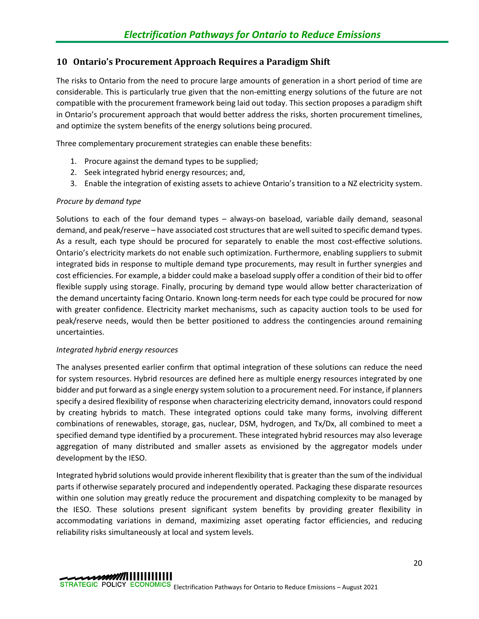## <span id="page-24-0"></span>**10 Ontario's Procurement Approach Requires a Paradigm Shift**

The risks to Ontario from the need to procure large amounts of generation in a short period of time are considerable. This is particularly true given that the non-emitting energy solutions of the future are not compatible with the procurement framework being laid out today. This section proposes a paradigm shift in Ontario's procurement approach that would better address the risks, shorten procurement timelines, and optimize the system benefits of the energy solutions being procured.

Three complementary procurement strategies can enable these benefits:

- 1. Procure against the demand types to be supplied;
- 2. Seek integrated hybrid energy resources; and,
- 3. Enable the integration of existing assets to achieve Ontario's transition to a NZ electricity system.

## *Procure by demand type*

Solutions to each of the four demand types – always-on baseload, variable daily demand, seasonal demand, and peak/reserve – have associated cost structures that are well suited to specific demand types. As a result, each type should be procured for separately to enable the most cost-effective solutions. Ontario's electricity markets do not enable such optimization. Furthermore, enabling suppliers to submit integrated bids in response to multiple demand type procurements, may result in further synergies and cost efficiencies. For example, a bidder could make a baseload supply offer a condition of their bid to offer flexible supply using storage. Finally, procuring by demand type would allow better characterization of the demand uncertainty facing Ontario. Known long-term needs for each type could be procured for now with greater confidence. Electricity market mechanisms, such as capacity auction tools to be used for peak/reserve needs, would then be better positioned to address the contingencies around remaining uncertainties.

## *Integrated hybrid energy resources*

The analyses presented earlier confirm that optimal integration of these solutions can reduce the need for system resources. Hybrid resources are defined here as multiple energy resources integrated by one bidder and put forward as a single energy system solution to a procurement need. For instance, if planners specify a desired flexibility of response when characterizing electricity demand, innovators could respond by creating hybrids to match. These integrated options could take many forms, involving different combinations of renewables, storage, gas, nuclear, DSM, hydrogen, and Tx/Dx, all combined to meet a specified demand type identified by a procurement. These integrated hybrid resources may also leverage aggregation of many distributed and smaller assets as envisioned by the aggregator models under development by the IESO.

Integrated hybrid solutions would provide inherent flexibility that is greater than the sum of the individual parts if otherwise separately procured and independently operated. Packaging these disparate resources within one solution may greatly reduce the procurement and dispatching complexity to be managed by the IESO. These solutions present significant system benefits by providing greater flexibility in accommodating variations in demand, maximizing asset operating factor efficiencies, and reducing reliability risks simultaneously at local and system levels.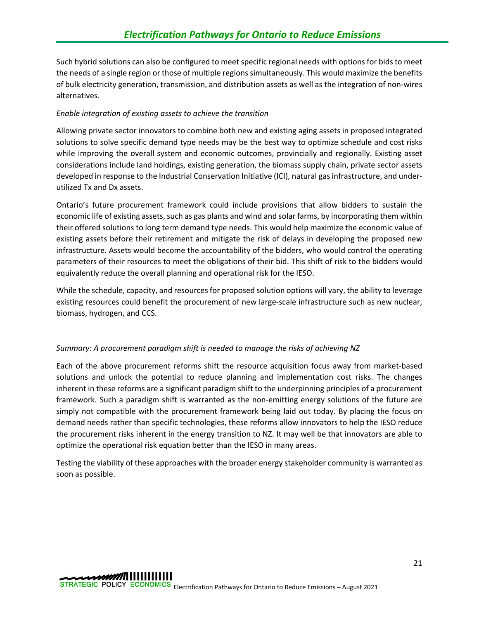Such hybrid solutions can also be configured to meet specific regional needs with options for bids to meet the needs of a single region or those of multiple regions simultaneously. This would maximize the benefits of bulk electricity generation, transmission, and distribution assets as well as the integration of non-wires alternatives.

## *Enable integration of existing assets to achieve the transition*

Allowing private sector innovators to combine both new and existing aging assets in proposed integrated solutions to solve specific demand type needs may be the best way to optimize schedule and cost risks while improving the overall system and economic outcomes, provincially and regionally. Existing asset considerations include land holdings, existing generation, the biomass supply chain, private sector assets developed in response to the Industrial Conservation Initiative (ICI), natural gas infrastructure, and underutilized Tx and Dx assets.

Ontario's future procurement framework could include provisions that allow bidders to sustain the economic life of existing assets, such as gas plants and wind and solar farms, by incorporating them within their offered solutions to long term demand type needs. This would help maximize the economic value of existing assets before their retirement and mitigate the risk of delays in developing the proposed new infrastructure. Assets would become the accountability of the bidders, who would control the operating parameters of their resources to meet the obligations of their bid. This shift of risk to the bidders would equivalently reduce the overall planning and operational risk for the IESO.

While the schedule, capacity, and resources for proposed solution options will vary, the ability to leverage existing resources could benefit the procurement of new large-scale infrastructure such as new nuclear, biomass, hydrogen, and CCS.

## *Summary: A procurement paradigm shift is needed to manage the risks of achieving NZ*

Each of the above procurement reforms shift the resource acquisition focus away from market-based solutions and unlock the potential to reduce planning and implementation cost risks. The changes inherent in these reforms are a significant paradigm shift to the underpinning principles of a procurement framework. Such a paradigm shift is warranted as the non-emitting energy solutions of the future are simply not compatible with the procurement framework being laid out today. By placing the focus on demand needs rather than specific technologies, these reforms allow innovators to help the IESO reduce the procurement risks inherent in the energy transition to NZ. It may well be that innovators are able to optimize the operational risk equation better than the IESO in many areas.

Testing the viability of these approaches with the broader energy stakeholder community is warranted as soon as possible.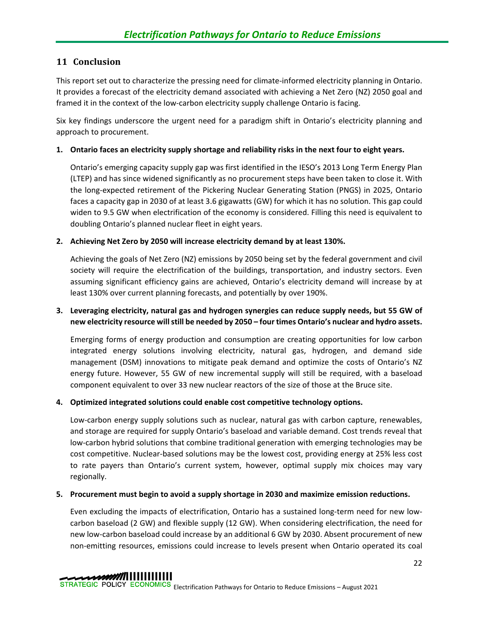## <span id="page-26-0"></span>**11 Conclusion**

This report set out to characterize the pressing need for climate-informed electricity planning in Ontario. It provides a forecast of the electricity demand associated with achieving a Net Zero (NZ) 2050 goal and framed it in the context of the low-carbon electricity supply challenge Ontario is facing.

Six key findings underscore the urgent need for a paradigm shift in Ontario's electricity planning and approach to procurement.

## **1. Ontario faces an electricity supply shortage and reliability risks in the next four to eight years.**

Ontario's emerging capacity supply gap was first identified in the IESO's 2013 Long Term Energy Plan (LTEP) and has since widened significantly as no procurement steps have been taken to close it. With the long-expected retirement of the Pickering Nuclear Generating Station (PNGS) in 2025, Ontario faces a capacity gap in 2030 of at least 3.6 gigawatts (GW) for which it has no solution. This gap could widen to 9.5 GW when electrification of the economy is considered. Filling this need is equivalent to doubling Ontario's planned nuclear fleet in eight years.

## **2. Achieving Net Zero by 2050 will increase electricity demand by at least 130%.**

Achieving the goals of Net Zero (NZ) emissions by 2050 being set by the federal government and civil society will require the electrification of the buildings, transportation, and industry sectors. Even assuming significant efficiency gains are achieved, Ontario's electricity demand will increase by at least 130% over current planning forecasts, and potentially by over 190%.

## **3. Leveraging electricity, natural gas and hydrogen synergies can reduce supply needs, but 55 GW of new electricity resource will still be needed by 2050 – four times Ontario's nuclear and hydro assets.**

Emerging forms of energy production and consumption are creating opportunities for low carbon integrated energy solutions involving electricity, natural gas, hydrogen, and demand side management (DSM) innovations to mitigate peak demand and optimize the costs of Ontario's NZ energy future. However, 55 GW of new incremental supply will still be required, with a baseload component equivalent to over 33 new nuclear reactors of the size of those at the Bruce site.

## **4. Optimized integrated solutions could enable cost competitive technology options.**

Low-carbon energy supply solutions such as nuclear, natural gas with carbon capture, renewables, and storage are required for supply Ontario's baseload and variable demand. Cost trends reveal that low-carbon hybrid solutions that combine traditional generation with emerging technologies may be cost competitive. Nuclear-based solutions may be the lowest cost, providing energy at 25% less cost to rate payers than Ontario's current system, however, optimal supply mix choices may vary regionally.

## **5. Procurement must begin to avoid a supply shortage in 2030 and maximize emission reductions.**

Even excluding the impacts of electrification, Ontario has a sustained long-term need for new lowcarbon baseload (2 GW) and flexible supply (12 GW). When considering electrification, the need for new low-carbon baseload could increase by an additional 6 GW by 2030. Absent procurement of new non-emitting resources, emissions could increase to levels present when Ontario operated its coal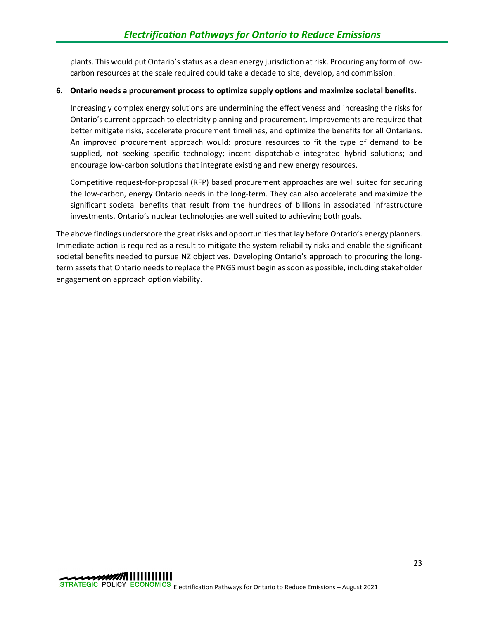plants. This would put Ontario's status as a clean energy jurisdiction at risk. Procuring any form of lowcarbon resources at the scale required could take a decade to site, develop, and commission.

## **6. Ontario needs a procurement process to optimize supply options and maximize societal benefits.**

Increasingly complex energy solutions are undermining the effectiveness and increasing the risks for Ontario's current approach to electricity planning and procurement. Improvements are required that better mitigate risks, accelerate procurement timelines, and optimize the benefits for all Ontarians. An improved procurement approach would: procure resources to fit the type of demand to be supplied, not seeking specific technology; incent dispatchable integrated hybrid solutions; and encourage low-carbon solutions that integrate existing and new energy resources.

Competitive request-for-proposal (RFP) based procurement approaches are well suited for securing the low-carbon, energy Ontario needs in the long-term. They can also accelerate and maximize the significant societal benefits that result from the hundreds of billions in associated infrastructure investments. Ontario's nuclear technologies are well suited to achieving both goals.

The above findings underscore the great risks and opportunities that lay before Ontario's energy planners. Immediate action is required as a result to mitigate the system reliability risks and enable the significant societal benefits needed to pursue NZ objectives. Developing Ontario's approach to procuring the longterm assets that Ontario needs to replace the PNGS must begin as soon as possible, including stakeholder engagement on approach option viability.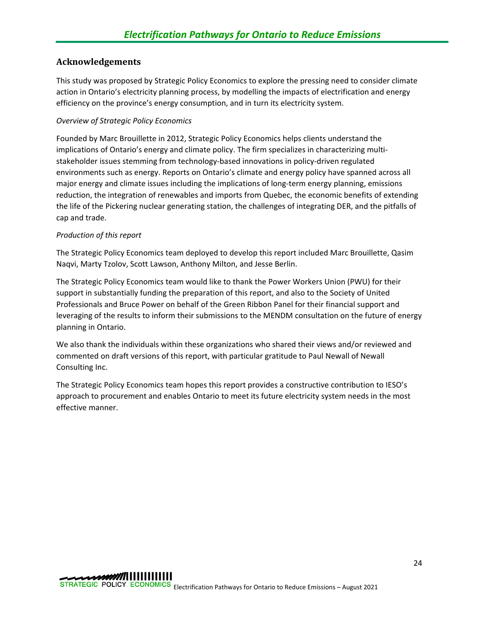## <span id="page-28-0"></span>**Acknowledgements**

This study was proposed by Strategic Policy Economics to explore the pressing need to consider climate action in Ontario's electricity planning process, by modelling the impacts of electrification and energy efficiency on the province's energy consumption, and in turn its electricity system.

## *Overview of Strategic Policy Economics*

Founded by Marc Brouillette in 2012, Strategic Policy Economics helps clients understand the implications of Ontario's energy and climate policy. The firm specializes in characterizing multistakeholder issues stemming from technology-based innovations in policy-driven regulated environments such as energy. Reports on Ontario's climate and energy policy have spanned across all major energy and climate issues including the implications of long-term energy planning, emissions reduction, the integration of renewables and imports from Quebec, the economic benefits of extending the life of the Pickering nuclear generating station, the challenges of integrating DER, and the pitfalls of cap and trade.

## *Production of this report*

The Strategic Policy Economics team deployed to develop this report included Marc Brouillette, Qasim Naqvi, Marty Tzolov, Scott Lawson, Anthony Milton, and Jesse Berlin.

The Strategic Policy Economics team would like to thank the Power Workers Union (PWU) for their support in substantially funding the preparation of this report, and also to the Society of United Professionals and Bruce Power on behalf of the Green Ribbon Panel for their financial support and leveraging of the results to inform their submissions to the MENDM consultation on the future of energy planning in Ontario.

We also thank the individuals within these organizations who shared their views and/or reviewed and commented on draft versions of this report, with particular gratitude to Paul Newall of Newall Consulting Inc.

The Strategic Policy Economics team hopes this report provides a constructive contribution to IESO's approach to procurement and enables Ontario to meet its future electricity system needs in the most effective manner.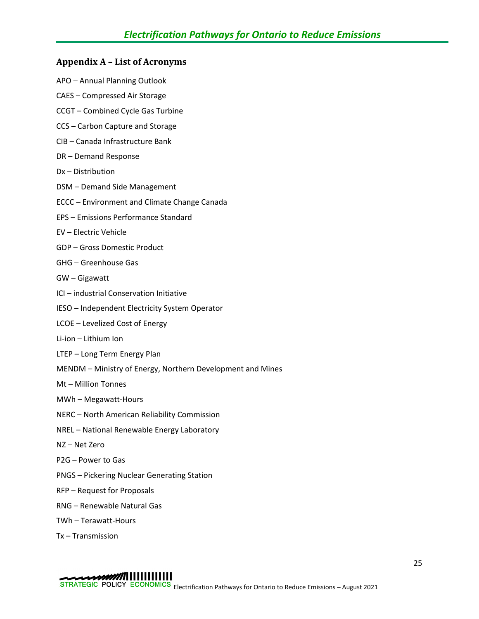## <span id="page-29-0"></span>**Appendix A – List of Acronyms**

- APO Annual Planning Outlook
- CAES Compressed Air Storage
- CCGT Combined Cycle Gas Turbine
- CCS Carbon Capture and Storage
- CIB Canada Infrastructure Bank
- DR Demand Response
- Dx Distribution
- DSM Demand Side Management
- ECCC Environment and Climate Change Canada
- EPS Emissions Performance Standard
- EV Electric Vehicle
- GDP Gross Domestic Product
- GHG Greenhouse Gas
- GW Gigawatt
- ICI industrial Conservation Initiative
- IESO Independent Electricity System Operator
- LCOE Levelized Cost of Energy
- Li-ion Lithium Ion
- LTEP Long Term Energy Plan
- MENDM Ministry of Energy, Northern Development and Mines
- Mt Million Tonnes
- MWh Megawatt-Hours
- NERC North American Reliability Commission
- NREL National Renewable Energy Laboratory
- NZ Net Zero
- P2G Power to Gas
- PNGS Pickering Nuclear Generating Station
- RFP Request for Proposals
- RNG Renewable Natural Gas
- TWh Terawatt-Hours
- Tx Transmission

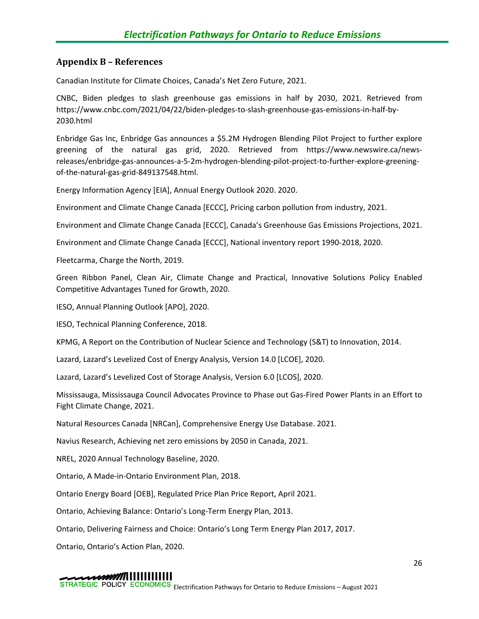## <span id="page-30-0"></span>**Appendix B – References**

Canadian Institute for Climate Choices, Canada's Net Zero Future, 2021.

CNBC, Biden pledges to slash greenhouse gas emissions in half by 2030, 2021. Retrieved from https://www.cnbc.com/2021/04/22/biden-pledges-to-slash-greenhouse-gas-emissions-in-half-by-2030.html

Enbridge Gas Inc, Enbridge Gas announces a \$5.2M Hydrogen Blending Pilot Project to further explore greening of the natural gas grid, 2020. Retrieved from https://www.newswire.ca/newsreleases/enbridge-gas-announces-a-5-2m-hydrogen-blending-pilot-project-to-further-explore-greeningof-the-natural-gas-grid-849137548.html.

Energy Information Agency [EIA], Annual Energy Outlook 2020. 2020.

Environment and Climate Change Canada [ECCC], Pricing carbon pollution from industry, 2021.

Environment and Climate Change Canada [ECCC], Canada's Greenhouse Gas Emissions Projections, 2021.

Environment and Climate Change Canada [ECCC], National inventory report 1990-2018, 2020.

Fleetcarma, Charge the North, 2019.

Green Ribbon Panel, Clean Air, Climate Change and Practical, Innovative Solutions Policy Enabled Competitive Advantages Tuned for Growth, 2020.

IESO, Annual Planning Outlook [APO], 2020.

IESO, Technical Planning Conference, 2018.

KPMG, A Report on the Contribution of Nuclear Science and Technology (S&T) to Innovation, 2014.

Lazard, Lazard's Levelized Cost of Energy Analysis, Version 14.0 [LCOE], 2020.

Lazard, Lazard's Levelized Cost of Storage Analysis, Version 6.0 [LCOS], 2020.

Mississauga, Mississauga Council Advocates Province to Phase out Gas-Fired Power Plants in an Effort to Fight Climate Change, 2021.

Natural Resources Canada [NRCan], Comprehensive Energy Use Database. 2021.

Navius Research, Achieving net zero emissions by 2050 in Canada, 2021.

NREL, 2020 Annual Technology Baseline, 2020.

Ontario, A Made-in-Ontario Environment Plan, 2018.

Ontario Energy Board [OEB], Regulated Price Plan Price Report, April 2021.

Ontario, Achieving Balance: Ontario's Long-Term Energy Plan, 2013.

Ontario, Delivering Fairness and Choice: Ontario's Long Term Energy Plan 2017, 2017.

Ontario, Ontario's Action Plan, 2020.

#